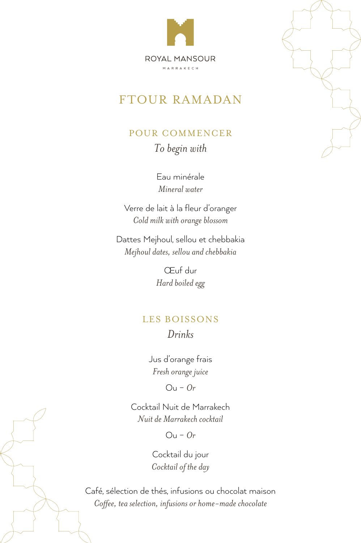

## **FTOUR RAMADAN**

## POUR COMMENCER To begin with

Eau minérale *water Mineral*

Verre de lait à la fleur d'oranger *Cold milk with orange blossom* 

Dattes Mejhoul, sellou et chebbakia  $M$ ejhoul dates, sellou and chebbakia

> Œuf dur Hard boiled egg

## LES BOISSONS *Drinks*

Jus d'orange frais *juice orange Fresh*

 $O<sub>u</sub> - Or$ 

Cocktail Nuit de Marrakech  $N$ uit de Marrakech cocktail

*Or* – Ou

Cocktail du jour *Cocktail* of the day

Café, sélection de thés, infusions ou chocolat maison *Coffee, tea selection, infusions or home-made chocolate* 

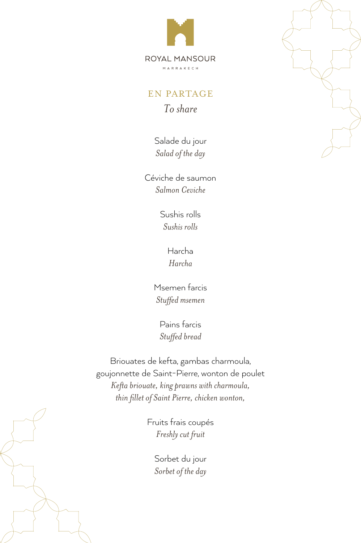

#### **EN PARTAGE** *share To*

Salade du jour Salad of the day

Céviche de saumon  *Ceviche Salmon*

> Sushis rolls *Sushis* rolls

> > Harcha *Harcha*

Msemen farcis  *msemen Stuffed*

Pains farcis *bread Stuffed*

Briouates de kefta, gambas charmoula, goujonnette de Saint-Pierre, wonton de poulet *Kefta briouate, king prawns with charmoula, thin fillet of Saint Pierre, chicken wonton,* 

> Fruits frais coupés *fruit cut Freshly*

> > Sorbet du jour Sorbet of the day



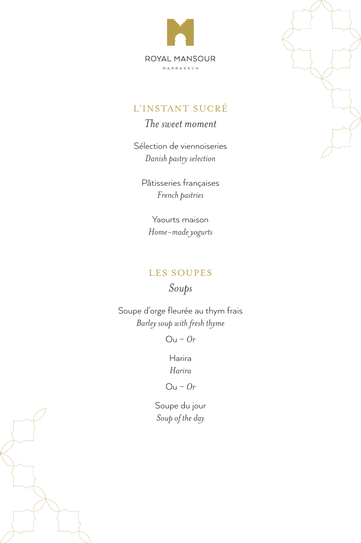



The sweet moment

Sélection de viennoiseries Danish pastry selection

Pâtisseries françaises French pastries

Yaourts maison Home-made yogurts

### LES SOUPES

Soups

Soupe d'orge fleurée au thym frais Barley soup with fresh thyme

 $Ou$  -  $Or$ 

Harira Harira

 $Ou$  -  $Or$ 

Soupe du jour Soup of the day